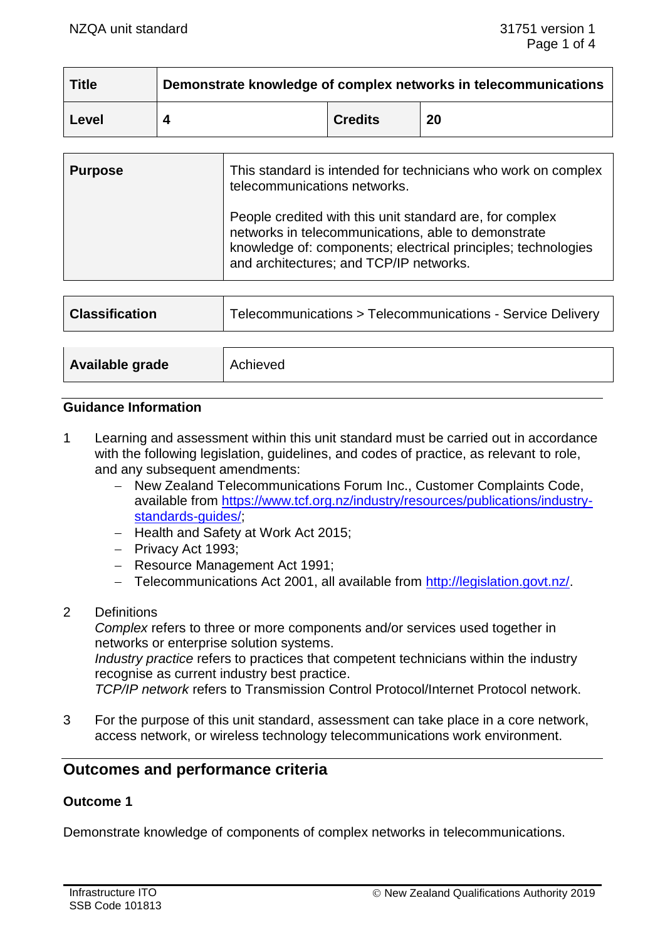| <b>Title</b> | Demonstrate knowledge of complex networks in telecommunications |                |    |
|--------------|-----------------------------------------------------------------|----------------|----|
| Level        |                                                                 | <b>Credits</b> | 20 |

| <b>Purpose</b> | This standard is intended for technicians who work on complex<br>telecommunications networks.                                                                                                                               |
|----------------|-----------------------------------------------------------------------------------------------------------------------------------------------------------------------------------------------------------------------------|
|                | People credited with this unit standard are, for complex<br>networks in telecommunications, able to demonstrate<br>knowledge of: components; electrical principles; technologies<br>and architectures; and TCP/IP networks. |

| <b>Classification</b>  | Telecommunications > Telecommunications - Service Delivery |  |
|------------------------|------------------------------------------------------------|--|
|                        |                                                            |  |
| <b>Available grade</b> | Achieved                                                   |  |

### **Guidance Information**

- 1 Learning and assessment within this unit standard must be carried out in accordance with the following legislation, guidelines, and codes of practice, as relevant to role, and any subsequent amendments:
	- − New Zealand Telecommunications Forum Inc., Customer Complaints Code, available from https://www.tcf.org.nz/industry/resources/publications/industrv[standards-guides/;](https://www.tcf.org.nz/industry/resources/publications/industry-standards-guides/)
	- − Health and Safety at Work Act 2015;
	- − Privacy Act 1993;
	- − Resource Management Act 1991;
	- − Telecommunications Act 2001, all available from [http://legislation.govt.nz/.](http://legislation.govt.nz/)
- 2 Definitions

*Complex* refers to three or more components and/or services used together in networks or enterprise solution systems.

*Industry practice* refers to practices that competent technicians within the industry recognise as current industry best practice.

*TCP/IP network* refers to Transmission Control Protocol/Internet Protocol network.

3 For the purpose of this unit standard, assessment can take place in a core network, access network, or wireless technology telecommunications work environment.

# **Outcomes and performance criteria**

#### **Outcome 1**

Demonstrate knowledge of components of complex networks in telecommunications.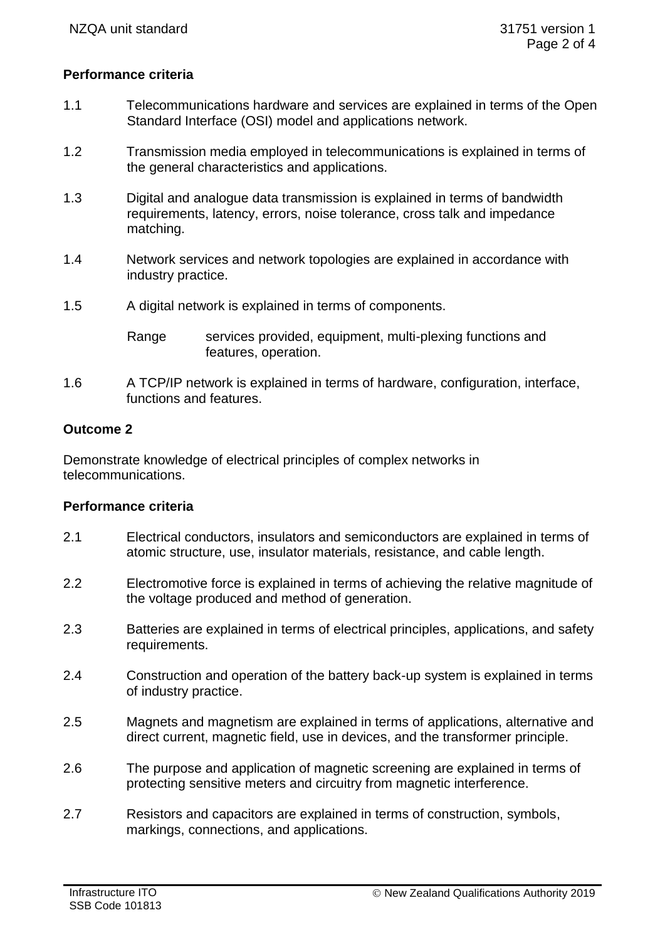# **Performance criteria**

- 1.1 Telecommunications hardware and services are explained in terms of the Open Standard Interface (OSI) model and applications network.
- 1.2 Transmission media employed in telecommunications is explained in terms of the general characteristics and applications.
- 1.3 Digital and analogue data transmission is explained in terms of bandwidth requirements, latency, errors, noise tolerance, cross talk and impedance matching.
- 1.4 Network services and network topologies are explained in accordance with industry practice.
- 1.5 A digital network is explained in terms of components.

1.6 A TCP/IP network is explained in terms of hardware, configuration, interface, functions and features.

# **Outcome 2**

Demonstrate knowledge of electrical principles of complex networks in telecommunications.

# **Performance criteria**

- 2.1 Electrical conductors, insulators and semiconductors are explained in terms of atomic structure, use, insulator materials, resistance, and cable length.
- 2.2 Electromotive force is explained in terms of achieving the relative magnitude of the voltage produced and method of generation.
- 2.3 Batteries are explained in terms of electrical principles, applications, and safety requirements.
- 2.4 Construction and operation of the battery back-up system is explained in terms of industry practice.
- 2.5 Magnets and magnetism are explained in terms of applications, alternative and direct current, magnetic field, use in devices, and the transformer principle.
- 2.6 The purpose and application of magnetic screening are explained in terms of protecting sensitive meters and circuitry from magnetic interference.
- 2.7 Resistors and capacitors are explained in terms of construction, symbols, markings, connections, and applications.

Range services provided, equipment, multi-plexing functions and features, operation.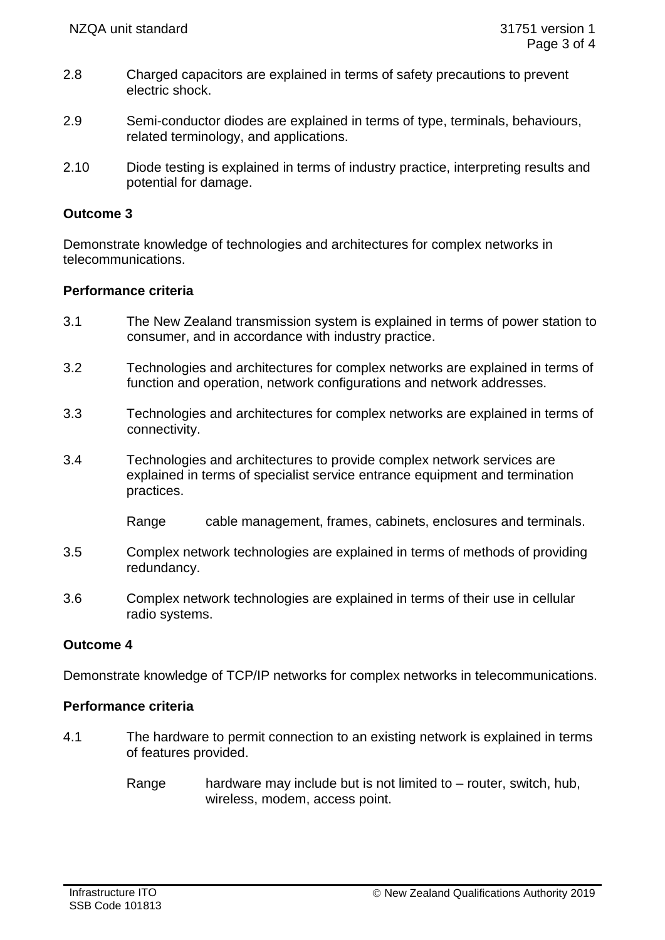- 2.8 Charged capacitors are explained in terms of safety precautions to prevent electric shock.
- 2.9 Semi-conductor diodes are explained in terms of type, terminals, behaviours, related terminology, and applications.
- 2.10 Diode testing is explained in terms of industry practice, interpreting results and potential for damage.

# **Outcome 3**

Demonstrate knowledge of technologies and architectures for complex networks in telecommunications.

# **Performance criteria**

- 3.1 The New Zealand transmission system is explained in terms of power station to consumer, and in accordance with industry practice.
- 3.2 Technologies and architectures for complex networks are explained in terms of function and operation, network configurations and network addresses.
- 3.3 Technologies and architectures for complex networks are explained in terms of connectivity.
- 3.4 Technologies and architectures to provide complex network services are explained in terms of specialist service entrance equipment and termination practices.
	- Range cable management, frames, cabinets, enclosures and terminals.
- 3.5 Complex network technologies are explained in terms of methods of providing redundancy.
- 3.6 Complex network technologies are explained in terms of their use in cellular radio systems.

# **Outcome 4**

Demonstrate knowledge of TCP/IP networks for complex networks in telecommunications.

# **Performance criteria**

- 4.1 The hardware to permit connection to an existing network is explained in terms of features provided.
	- Range hardware may include but is not limited to router, switch, hub, wireless, modem, access point.